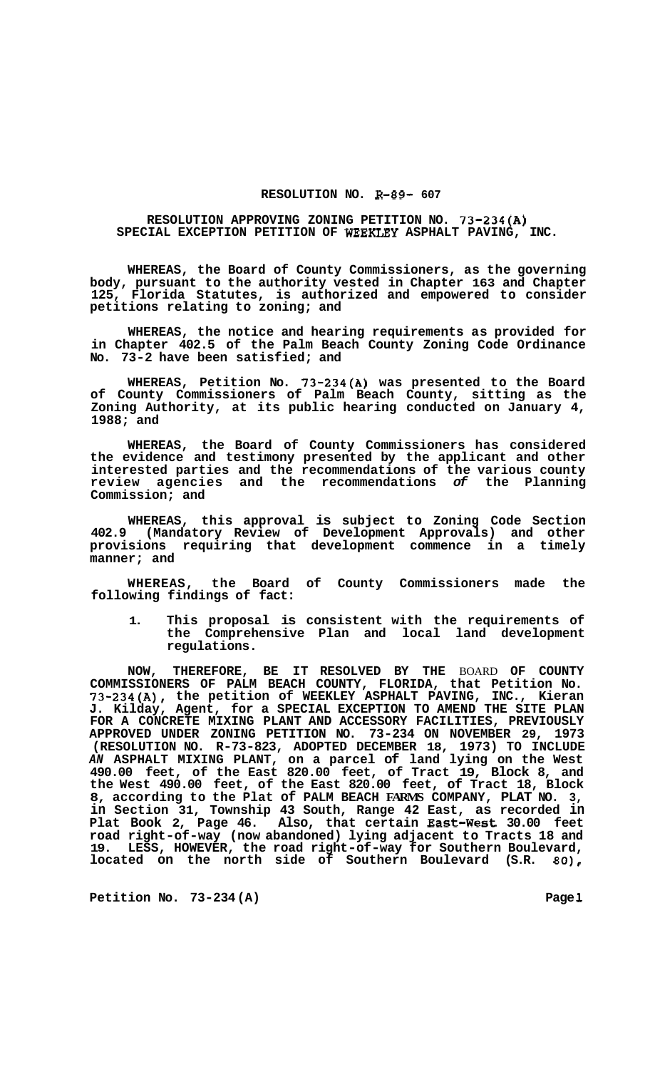## **RESOLUTION NO. R-89- 607**

## **RESOLUTION APPROVING ZONING PETITION NO. 73-234(A) SPECIAL EXCEPTION PETITION OF WEEKLEY ASPHALT PAVING, INC.**

**WHEREAS, the Board of County Commissioners, as the governing body, pursuant to the authority vested in Chapter 163 and Chapter 125, Florida Statutes, is authorized and empowered to consider petitions relating to zoning; and** 

**WHEREAS, the notice and hearing requirements as provided for in Chapter 402.5 of the Palm Beach County Zoning Code Ordinance No. 73-2 have been satisfied; and** 

**WHEREAS, Petition No. 73-234(A) was presented to the Board of County Commissioners of Palm Beach County, sitting as the Zoning Authority, at its public hearing conducted on January 4, 1988; and** 

**WHEREAS, the Board of County Commissioners has considered the evidence and testimony presented by the applicant and other interested parties and the recommendations of the various county review agencies and the recommendations** *of* **the Planning Commission; and** 

**WHEREAS, this approval is subject to Zoning Code Section 402.9 (Mandatory Review of Development Approvals) and other provisions requiring that development commence in a timely manner; and** 

**WHEREAS, the Board of County Commissioners made the following findings of fact:** 

**1. This proposal is consistent with the requirements of the Comprehensive Plan and local land development regulations.** 

**NOW, THEREFORE, BE IT RESOLVED BY THE** BOARD **OF COUNTY COMMISSIONERS OF PALM BEACH COUNTY, FLORIDA, that Petition No. 73-234(A), the petition of WEEKLEY ASPHALT PAVING, INC., Kieran J. Kilday, Agent, for a SPECIAL EXCEPTION TO AMEND THE SITE PLAN FOR A CONCRETE MIXING PLANT AND ACCESSORY FACILITIES, PREVIOUSLY APPROVED UNDER ZONING PETITION NO. 73-234 ON NOVEMBER 29, 1973 (RESOLUTION NO. R-73-823, ADOPTED DECEMBER 18, 1973) TO INCLUDE**  *AN* **ASPHALT MIXING PLANT, on a parcel of land lying on the West 490.00 feet, of the East 820.00 feet, of Tract 19, Block 8, and the West 490.00 feet, of the East 820.00 feet, of Tract 18, Block 8, according to the Plat of PALM BEACH FARMS COMPANY, PLAT NO. 3, in Section 31, Township 43 South, Range 42 East, as recorded in Plat Book 2, Page 46. Also, that certain East-West 30.00 feet road right-of-way (now abandoned) lying adjacent to Tracts 18 and 19. LESS, HOWEVER, the road right-of-way for Southern Boulevard, located on the north side of Southern Boulevard (S.R.** *80),* 

Petition No. 73-234 (A) Page 1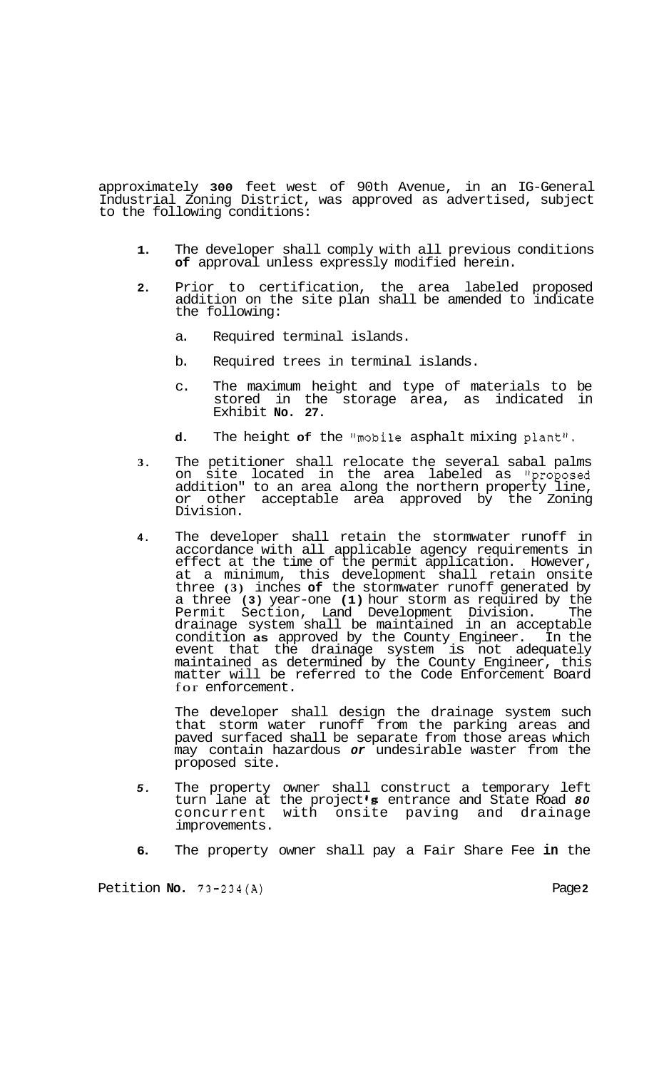approximately **300** feet west of 90th Avenue, in an IG-General Industrial Zoning District, was approved as advertised, subject to the following conditions:

- **1.** The developer shall comply with all previous conditions **of** approval unless expressly modified herein.
- **2.** Prior to certification, the area labeled proposed addition on the site plan shall be amended to indicate the following:
	- a. Required terminal islands.
	- b. Required trees in terminal islands.
	- c. The maximum height and type of materials to be stored in the storage area, as indicated in Exhibit **No. 27.**
	- **d.** The height **of** the "mobile asphalt mixing plant".
- **3.** The petitioner shall relocate the several sabal palms site located in the area labeled as "proposed addition" to an area along the northern property line, or other acceptable area approved by the Zoning Division.
- **4.** The developer shall retain the stormwater runoff in accordance with all applicable agency requirements in effect at the time of the permit application. However, at a minimum, this development shall retain onsite three **(3)** inches **of** the stormwater runoff generated by a three **(3)** year-one **(1)** hour storm as required by the Permit Section, Land Development Division. The drainage system shall be maintained in an acceptable condition **as** approved by the County Engineer. In the event that the drainage system is not adequately maintained as determined by the County Engineer, this matter will be referred to the Code Enforcement Board for enforcement.

The developer shall design the drainage system such that storm water runoff from the parking areas and paved surfaced shall be separate from those areas which may contain hazardous *or* undesirable waster from the proposed site.

- *5.* The property owner shall construct a temporary left turn lane at the project *'8* entrance and State Road *80*  concurrent with onsite paving and drainage improvements.
- **6.** The property owner shall pay a Fair Share Fee **in** the

Petition **No.** 73-234(A) Page **2**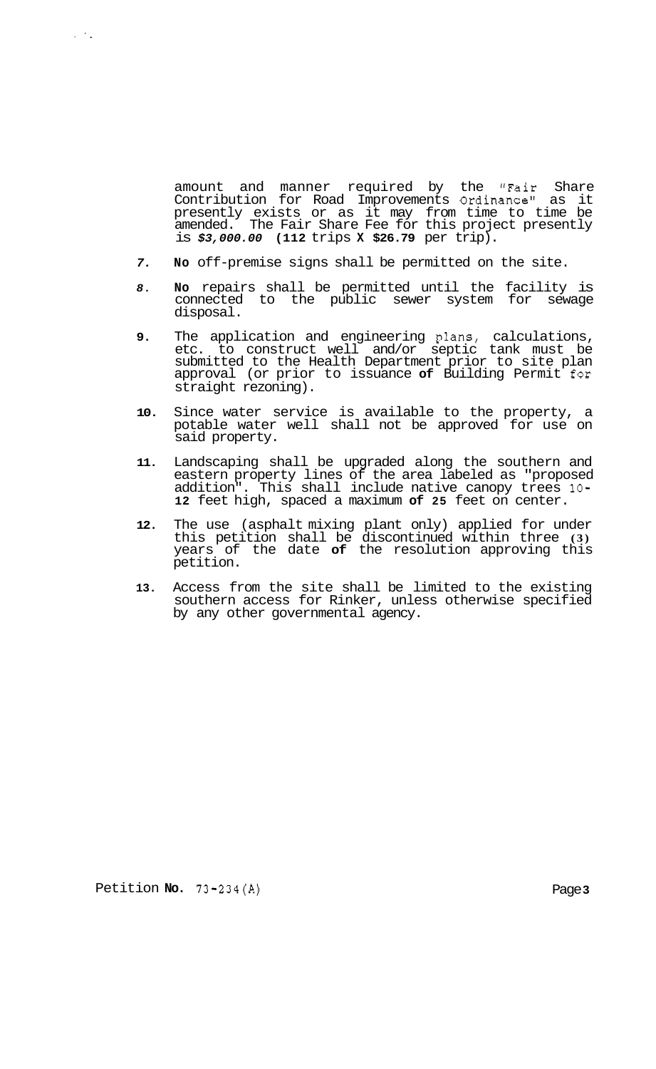amount and manner required by the "Fair Share Contribution for Road Improvements Ordinance" as it presently exists or as it may from time to time be amended. The Fair Share Fee for this project presently is *\$3,000.00* **(112** trips **X \$26.79** per trip).

- *7.* **No** off-premise signs shall be permitted on the site.
- *8.* **No** repairs shall be permitted until the facility is connected to the public sewer system for sewage disposal.
- **9.** The application and engineering plans, calculations, etc. to construct well and/or septic tank must be submitted to the Health Department prior to site plan approval (or prior to issuance **of** Building Permit for straight rezoning).
- **10.** Since water service is available to the property, a potable water well shall not be approved for use on said property.
- **11.** Landscaping shall be upgraded along the southern and eastern property lines of the area labeled as "proposed addition". This shall include native canopy trees **10- 12** feet high, spaced a maximum **of 25** feet on center.
- **12.** The use (asphalt mixing plant only) applied for under this petition shall be discontinued within three **(3)**  years of the date **of** the resolution approving this petition.
- **13.** Access from the site shall be limited to the existing southern access for Rinker, unless otherwise specified by any other governmental agency.

Petition **No. 73-234(A)** Page **3** 

 $\sqrt{2}$  ,